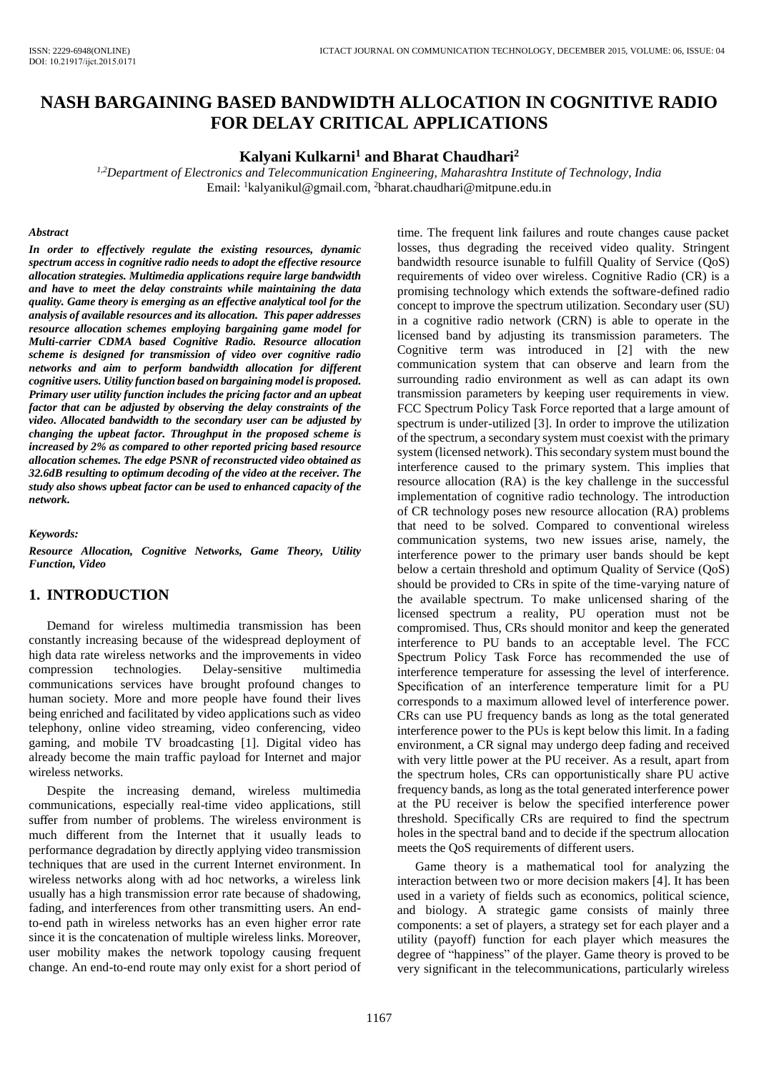# **NASH BARGAINING BASED BANDWIDTH ALLOCATION IN COGNITIVE RADIO FOR DELAY CRITICAL APPLICATIONS**

#### **Kalyani Kulkarni<sup>1</sup> and Bharat Chaudhari<sup>2</sup>**

*1,2Department of Electronics and Telecommunication Engineering, Maharashtra Institute of Technology, India*  Email: <sup>1</sup>kalyanikul@gmail.com, <sup>2</sup>bharat.chaudhari@mitpune.edu.in

#### *Abstract*

*In order to effectively regulate the existing resources, dynamic spectrum access in cognitive radio needs to adopt the effective resource allocation strategies. Multimedia applications require large bandwidth and have to meet the delay constraints while maintaining the data quality. Game theory is emerging as an effective analytical tool for the analysis of available resources and its allocation. This paper addresses resource allocation schemes employing bargaining game model for Multi-carrier CDMA based Cognitive Radio. Resource allocation scheme is designed for transmission of video over cognitive radio networks and aim to perform bandwidth allocation for different cognitive users. Utility function based on bargaining model is proposed. Primary user utility function includes the pricing factor and an upbeat factor that can be adjusted by observing the delay constraints of the video. Allocated bandwidth to the secondary user can be adjusted by changing the upbeat factor. Throughput in the proposed scheme is increased by 2% as compared to other reported pricing based resource allocation schemes. The edge PSNR of reconstructed video obtained as 32.6dB resulting to optimum decoding of the video at the receiver. The study also shows upbeat factor can be used to enhanced capacity of the network.* 

*Keywords:* 

*Resource Allocation, Cognitive Networks, Game Theory, Utility Function, Video* 

### **1. INTRODUCTION**

Demand for wireless multimedia transmission has been constantly increasing because of the widespread deployment of high data rate wireless networks and the improvements in video compression technologies. Delay-sensitive multimedia communications services have brought profound changes to human society. More and more people have found their lives being enriched and facilitated by video applications such as video telephony, online video streaming, video conferencing, video gaming, and mobile TV broadcasting [1]. Digital video has already become the main traffic payload for Internet and major wireless networks.

Despite the increasing demand, wireless multimedia communications, especially real-time video applications, still suffer from number of problems. The wireless environment is much different from the Internet that it usually leads to performance degradation by directly applying video transmission techniques that are used in the current Internet environment. In wireless networks along with ad hoc networks, a wireless link usually has a high transmission error rate because of shadowing, fading, and interferences from other transmitting users. An endto-end path in wireless networks has an even higher error rate since it is the concatenation of multiple wireless links. Moreover, user mobility makes the network topology causing frequent change. An end-to-end route may only exist for a short period of time. The frequent link failures and route changes cause packet losses, thus degrading the received video quality. Stringent bandwidth resource isunable to fulfill Quality of Service (QoS) requirements of video over wireless. Cognitive Radio (CR) is a promising technology which extends the software-defined radio concept to improve the spectrum utilization. Secondary user (SU) in a cognitive radio network (CRN) is able to operate in the licensed band by adjusting its transmission parameters. The Cognitive term was introduced in [2] with the new communication system that can observe and learn from the surrounding radio environment as well as can adapt its own transmission parameters by keeping user requirements in view. FCC Spectrum Policy Task Force reported that a large amount of spectrum is under-utilized [3]. In order to improve the utilization of the spectrum, a secondary system must coexist with the primary system (licensed network). This secondary system must bound the interference caused to the primary system. This implies that resource allocation (RA) is the key challenge in the successful implementation of cognitive radio technology. The introduction of CR technology poses new resource allocation (RA) problems that need to be solved. Compared to conventional wireless communication systems, two new issues arise, namely, the interference power to the primary user bands should be kept below a certain threshold and optimum Quality of Service (QoS) should be provided to CRs in spite of the time-varying nature of the available spectrum. To make unlicensed sharing of the licensed spectrum a reality, PU operation must not be compromised. Thus, CRs should monitor and keep the generated interference to PU bands to an acceptable level. The FCC Spectrum Policy Task Force has recommended the use of interference temperature for assessing the level of interference. Specification of an interference temperature limit for a PU corresponds to a maximum allowed level of interference power. CRs can use PU frequency bands as long as the total generated interference power to the PUs is kept below this limit. In a fading environment, a CR signal may undergo deep fading and received with very little power at the PU receiver. As a result, apart from the spectrum holes, CRs can opportunistically share PU active frequency bands, as long as the total generated interference power at the PU receiver is below the specified interference power threshold. Specifically CRs are required to find the spectrum holes in the spectral band and to decide if the spectrum allocation meets the QoS requirements of different users.

Game theory is a mathematical tool for analyzing the interaction between two or more decision makers [4]. It has been used in a variety of fields such as economics, political science, and biology. A strategic game consists of mainly three components: a set of players, a strategy set for each player and a utility (payoff) function for each player which measures the degree of "happiness" of the player. Game theory is proved to be very significant in the telecommunications, particularly wireless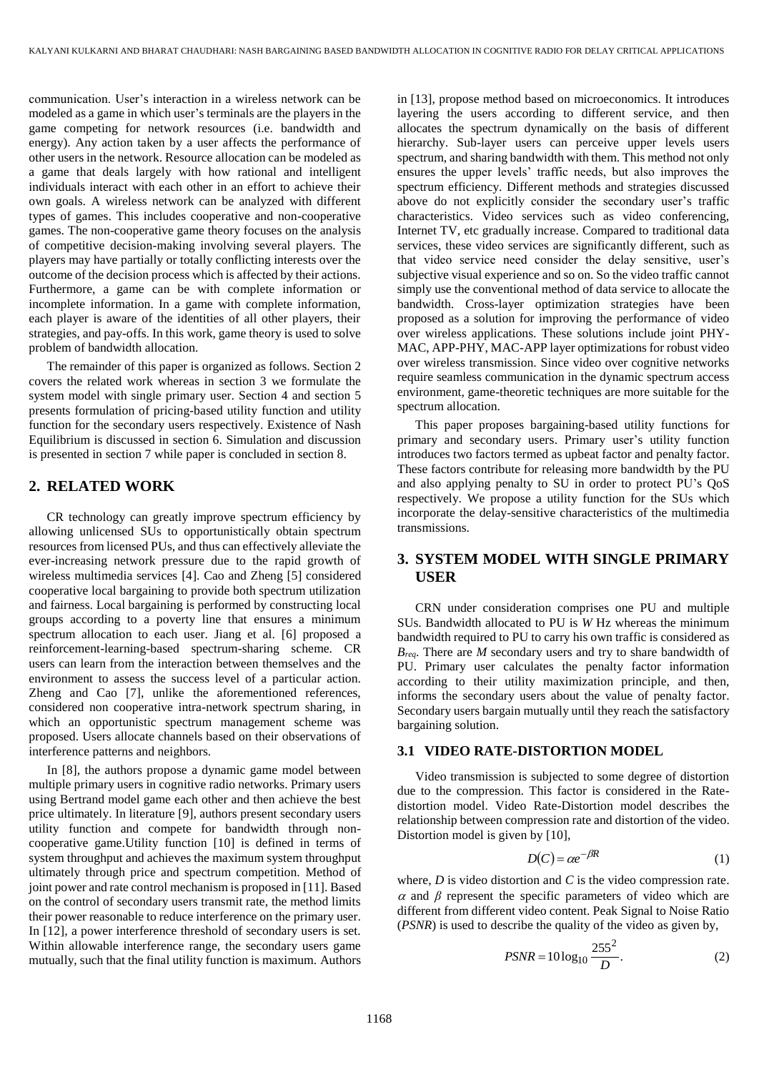communication. User's interaction in a wireless network can be modeled as a game in which user's terminals are the players in the game competing for network resources (i.e. bandwidth and energy). Any action taken by a user affects the performance of other users in the network. Resource allocation can be modeled as a game that deals largely with how rational and intelligent individuals interact with each other in an effort to achieve their own goals. A wireless network can be analyzed with different types of games. This includes cooperative and non-cooperative games. The non-cooperative game theory focuses on the analysis of competitive decision-making involving several players. The players may have partially or totally conflicting interests over the outcome of the decision process which is affected by their actions. Furthermore, a game can be with complete information or incomplete information. In a game with complete information, each player is aware of the identities of all other players, their strategies, and pay-offs. In this work, game theory is used to solve problem of bandwidth allocation.

The remainder of this paper is organized as follows. Section 2 covers the related work whereas in section 3 we formulate the system model with single primary user. Section 4 and section 5 presents formulation of pricing-based utility function and utility function for the secondary users respectively. Existence of Nash Equilibrium is discussed in section 6. Simulation and discussion is presented in section 7 while paper is concluded in section 8.

### **2. RELATED WORK**

CR technology can greatly improve spectrum efficiency by allowing unlicensed SUs to opportunistically obtain spectrum resources from licensed PUs, and thus can effectively alleviate the ever-increasing network pressure due to the rapid growth of wireless multimedia services [4]. Cao and Zheng [5] considered cooperative local bargaining to provide both spectrum utilization and fairness. Local bargaining is performed by constructing local groups according to a poverty line that ensures a minimum spectrum allocation to each user. Jiang et al. [6] proposed a reinforcement-learning-based spectrum-sharing scheme. CR users can learn from the interaction between themselves and the environment to assess the success level of a particular action. Zheng and Cao [7], unlike the aforementioned references, considered non cooperative intra-network spectrum sharing, in which an opportunistic spectrum management scheme was proposed. Users allocate channels based on their observations of interference patterns and neighbors.

In [8], the authors propose a dynamic game model between multiple primary users in cognitive radio networks. Primary users using Bertrand model game each other and then achieve the best price ultimately. In literature [9], authors present secondary users utility function and compete for bandwidth through noncooperative game.Utility function [10] is defined in terms of system throughput and achieves the maximum system throughput ultimately through price and spectrum competition. Method of joint power and rate control mechanism is proposed in [11]. Based on the control of secondary users transmit rate, the method limits their power reasonable to reduce interference on the primary user. In [12], a power interference threshold of secondary users is set. Within allowable interference range, the secondary users game mutually, such that the final utility function is maximum. Authors in [13], propose method based on microeconomics. It introduces layering the users according to different service, and then allocates the spectrum dynamically on the basis of different hierarchy. Sub-layer users can perceive upper levels users spectrum, and sharing bandwidth with them. This method not only ensures the upper levels' traffic needs, but also improves the spectrum efficiency. Different methods and strategies discussed above do not explicitly consider the secondary user's traffic characteristics. Video services such as video conferencing, Internet TV, etc gradually increase. Compared to traditional data services, these video services are significantly different, such as that video service need consider the delay sensitive, user's subjective visual experience and so on. So the video traffic cannot simply use the conventional method of data service to allocate the bandwidth. Cross-layer optimization strategies have been proposed as a solution for improving the performance of video over wireless applications. These solutions include joint PHY-MAC, APP-PHY, MAC-APP layer optimizations for robust video over wireless transmission. Since video over cognitive networks require seamless communication in the dynamic spectrum access environment, game-theoretic techniques are more suitable for the spectrum allocation.

This paper proposes bargaining-based utility functions for primary and secondary users. Primary user's utility function introduces two factors termed as upbeat factor and penalty factor. These factors contribute for releasing more bandwidth by the PU and also applying penalty to SU in order to protect PU's QoS respectively. We propose a utility function for the SUs which incorporate the delay-sensitive characteristics of the multimedia transmissions.

# **3. SYSTEM MODEL WITH SINGLE PRIMARY USER**

CRN under consideration comprises one PU and multiple SUs. Bandwidth allocated to PU is *W* Hz whereas the minimum bandwidth required to PU to carry his own traffic is considered as *Breq*. There are *M* secondary users and try to share bandwidth of PU. Primary user calculates the penalty factor information according to their utility maximization principle, and then, informs the secondary users about the value of penalty factor. Secondary users bargain mutually until they reach the satisfactory bargaining solution.

#### **3.1 VIDEO RATE-DISTORTION MODEL**

Video transmission is subjected to some degree of distortion due to the compression. This factor is considered in the Ratedistortion model. Video Rate-Distortion model describes the relationship between compression rate and distortion of the video. Distortion model is given by [10],

$$
D(C) = \alpha e^{-\beta R} \tag{1}
$$

where, *D* is video distortion and *C* is the video compression rate.  $\alpha$  and  $\beta$  represent the specific parameters of video which are different from different video content. Peak Signal to Noise Ratio (*PSNR*) is used to describe the quality of the video as given by,

$$
PSNR = 10\log_{10}\frac{255^2}{D}.
$$
 (2)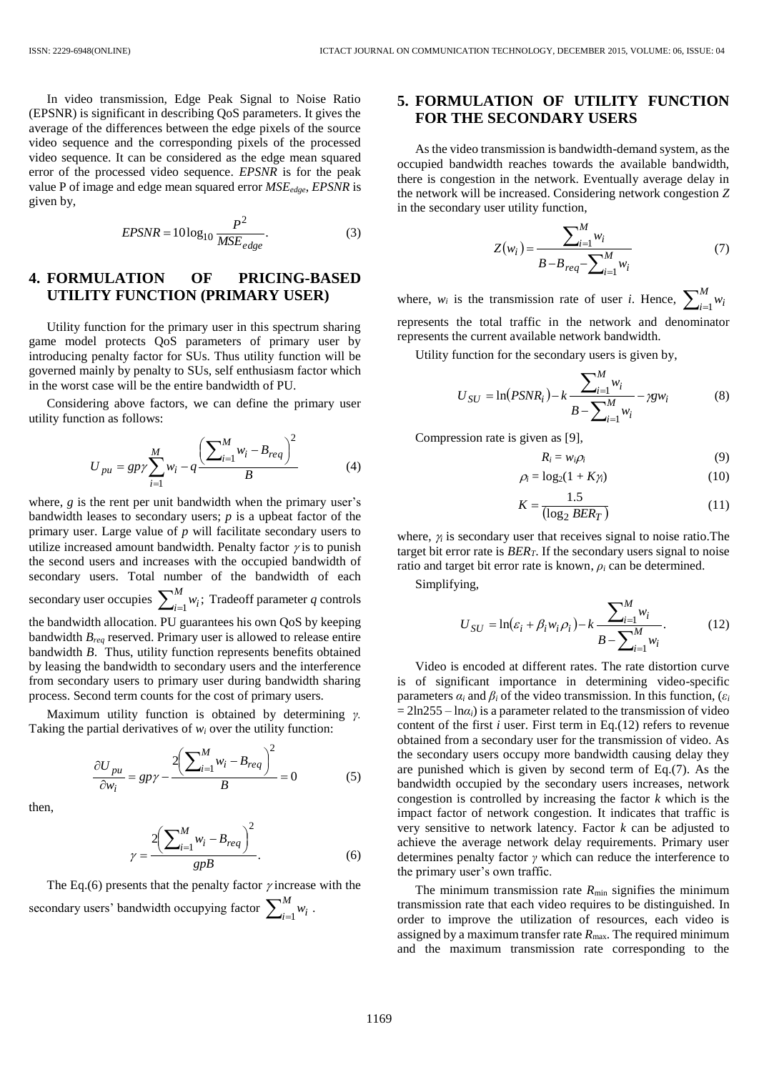In video transmission, Edge Peak Signal to Noise Ratio (EPSNR) is significant in describing QoS parameters. It gives the average of the differences between the edge pixels of the source video sequence and the corresponding pixels of the processed video sequence. It can be considered as the edge mean squared error of the processed video sequence. *EPSNR* is for the peak value P of image and edge mean squared error *MSEedge*, *EPSNR* is given by,

$$
EPSNR = 10\log_{10}\frac{P^2}{MSE_{edge}}.\tag{3}
$$

#### **4. FORMULATION OF PRICING-BASED UTILITY FUNCTION (PRIMARY USER)**

Utility function for the primary user in this spectrum sharing game model protects QoS parameters of primary user by introducing penalty factor for SUs. Thus utility function will be governed mainly by penalty to SUs, self enthusiasm factor which in the worst case will be the entire bandwidth of PU.

Considering above factors, we can define the primary user utility function as follows:

$$
U_{pu} = gp\gamma \sum_{i=1}^{M} w_i - q \frac{\left(\sum_{i=1}^{M} w_i - B_{req}\right)^2}{B}
$$
 (4)

where, *g* is the rent per unit bandwidth when the primary user's bandwidth leases to secondary users; *p* is a upbeat factor of the primary user. Large value of *p* will facilitate secondary users to utilize increased amount bandwidth. Penalty factor  $\gamma$  is to punish the second users and increases with the occupied bandwidth of secondary users. Total number of the bandwidth of each secondary user occupies  $\sum_{i=1}^{M} w_i$ ;  $\sum_{i=1}^{n} w_i$ ; Tradeoff parameter *q* controls the bandwidth allocation. PU guarantees his own QoS by keeping bandwidth *Breq* reserved. Primary user is allowed to release entire bandwidth *B*. Thus, utility function represents benefits obtained by leasing the bandwidth to secondary users and the interference from secondary users to primary user during bandwidth sharing process. Second term counts for the cost of primary users.

Maximum utility function is obtained by determining *γ.*  Taking the partial derivatives of  $w_i$  over the utility function:

$$
\frac{\partial U_{pu}}{\partial w_i} = gp\gamma - \frac{2\left(\sum_{i=1}^{M} w_i - B_{req}\right)^2}{B} = 0
$$
 (5)

then,

$$
\gamma = \frac{2\left(\sum_{i=1}^{M} w_i - B_{req}\right)^2}{g p B}.
$$
\n(6)

The Eq.(6) presents that the penalty factor  $\gamma$  increase with the secondary users' bandwidth occupying factor  $\sum_{i=1}^{M}$  $\sum_{i=1}^{n} w_i$ .

# **5. FORMULATION OF UTILITY FUNCTION FOR THE SECONDARY USERS**

As the video transmission is bandwidth-demand system, as the occupied bandwidth reaches towards the available bandwidth, there is congestion in the network. Eventually average delay in the network will be increased. Considering network congestion *Z* in the secondary user utility function,

$$
Z(w_i) = \frac{\sum_{i=1}^{M} w_i}{B - B_{req} - \sum_{i=1}^{M} w_i}
$$
(7)

where,  $w_i$  is the transmission rate of user *i*. Hence,  $\sum_{i=1}^{M}$  $w_i = 1$ <sup>*w<sub>i</sub>*</sup> represents the total traffic in the network and denominator represents the current available network bandwidth.

Utility function for the secondary users is given by,

$$
U_{SU} = \ln(PSNR_i) - k \frac{\sum_{i=1}^{M} w_i}{B - \sum_{i=1}^{M} w_i} - \gamma g w_i
$$
 (8)

Compression rate is given as [9],

$$
R_i = w_i \rho_i \tag{9}
$$

$$
\rho_i = \log_2(1 + K\gamma_i) \tag{10}
$$

$$
K = \frac{1.5}{(\log_2 BER_T)}\tag{11}
$$

where,  $\gamma$  is secondary user that receives signal to noise ratio. The target bit error rate is *BERT*. If the secondary users signal to noise ratio and target bit error rate is known,  $\rho_i$  can be determined.

Simplifying,

$$
U_{SU} = \ln(\varepsilon_i + \beta_i w_i \rho_i) - k \frac{\sum_{i=1}^{M} w_i}{B - \sum_{i=1}^{M} w_i}.
$$
 (12)

Video is encoded at different rates. The rate distortion curve is of significant importance in determining video-specific parameters  $\alpha_i$  and  $\beta_i$  of the video transmission. In this function, ( $\varepsilon_i$  $= 2\ln 255 - \ln \alpha_i$ ) is a parameter related to the transmission of video content of the first *i* user. First term in Eq.(12) refers to revenue obtained from a secondary user for the transmission of video. As the secondary users occupy more bandwidth causing delay they are punished which is given by second term of Eq.(7). As the bandwidth occupied by the secondary users increases, network congestion is controlled by increasing the factor *k* which is the impact factor of network congestion. It indicates that traffic is very sensitive to network latency. Factor *k* can be adjusted to achieve the average network delay requirements. Primary user determines penalty factor *γ* which can reduce the interference to the primary user's own traffic.

The minimum transmission rate  $R_{\text{min}}$  signifies the minimum transmission rate that each video requires to be distinguished. In order to improve the utilization of resources, each video is assigned by a maximum transfer rate  $R_{\text{max}}$ . The required minimum and the maximum transmission rate corresponding to the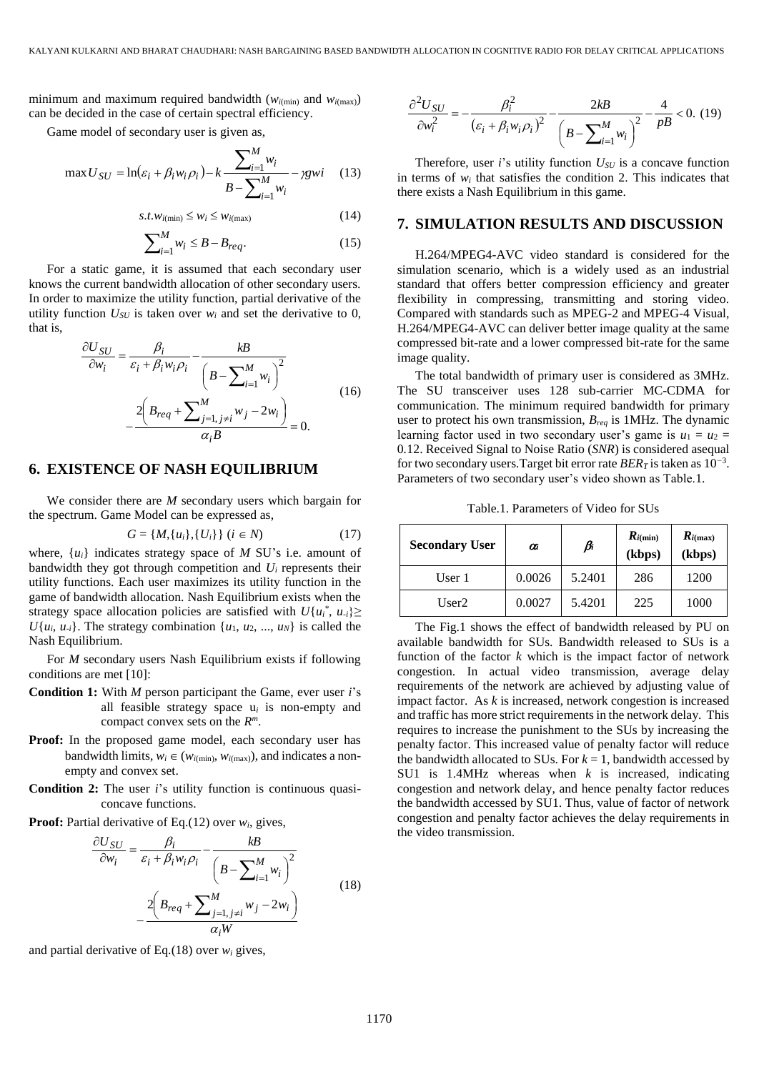minimum and maximum required bandwidth ( $w_{i(\text{min})}$  and  $w_{i(\text{max})}$ ) can be decided in the case of certain spectral efficiency.

Game model of secondary user is given as,

$$
\max U_{SU} = \ln(\varepsilon_i + \beta_i w_i \rho_i) - k \frac{\sum_{i=1}^{M} w_i}{B - \sum_{i=1}^{M} w_i} - \gamma g w i \quad (13)
$$

$$
s.t. w_{i(\min)} \le w_i \le w_{i(\max)} \tag{14}
$$

$$
\sum_{i=1}^{M} w_i \le B - B_{req}.\tag{15}
$$

For a static game, it is assumed that each secondary user knows the current bandwidth allocation of other secondary users. In order to maximize the utility function, partial derivative of the utility function  $U_{SU}$  is taken over  $w_i$  and set the derivative to 0, that is,

$$
\frac{\partial U_{SU}}{\partial w_i} = \frac{\beta_i}{\varepsilon_i + \beta_i w_i \rho_i} - \frac{kB}{\left(B - \sum_{i=1}^M w_i\right)^2} - \frac{2\left(B_{req} + \sum_{j=1, j \neq i}^M w_j - 2w_i\right)}{\alpha_i B} = 0.
$$
\n(16)

#### **6. EXISTENCE OF NASH EQUILIBRIUM**

We consider there are *M* secondary users which bargain for the spectrum. Game Model can be expressed as,

$$
G = \{M, \{u_i\}, \{U_i\}\} \ (i \in N) \tag{17}
$$

where,  $\{u_i\}$  indicates strategy space of *M* SU's i.e. amount of bandwidth they got through competition and  $U_i$  represents their utility functions. Each user maximizes its utility function in the game of bandwidth allocation. Nash Equilibrium exists when the strategy space allocation policies are satisfied with  $U{u_i}^*$ ,  $u_{i}$ }  $U{u_i, u_{-i}}$ . The strategy combination  ${u_1, u_2, ..., u_N}$  is called the Nash Equilibrium.

For *M* secondary users Nash Equilibrium exists if following conditions are met [10]:

- **Condition 1:** With *M* person participant the Game, ever user *i*'s all feasible strategy space u*<sup>i</sup>* is non-empty and compact convex sets on the *R m*.
- **Proof:** In the proposed game model, each secondary user has bandwidth limits,  $w_i \in (w_{i(\text{min})}, w_{i(\text{max})})$ , and indicates a nonempty and convex set.
- **Condition 2:** The user *i*'s utility function is continuous quasiconcave functions.
- **Proof:** Partial derivative of Eq.(12) over *wi*, gives,

$$
\frac{\partial U_{SU}}{\partial w_i} = \frac{\beta_i}{\varepsilon_i + \beta_i w_i \rho_i} - \frac{kB}{\left(B - \sum_{i=1}^M w_i\right)^2} - \frac{2\left(B_{req} + \sum_{j=1, j \neq i}^M w_j - 2w_i\right)}{\alpha_i W}
$$
(18)

and partial derivative of Eq.(18) over  $w_i$  gives,

$$
\frac{\partial^2 U_{SU}}{\partial w_i^2} = -\frac{\beta_i^2}{\left(\varepsilon_i + \beta_i w_i \rho_i\right)^2} - \frac{2kB}{\left(B - \sum_{i=1}^M w_i\right)^2} - \frac{4}{pB} < 0. \tag{19}
$$

Therefore, user *i*'s utility function *USU* is a concave function in terms of *w<sup>i</sup>* that satisfies the condition 2. This indicates that there exists a Nash Equilibrium in this game.

#### **7. SIMULATION RESULTS AND DISCUSSION**

H.264/MPEG4-AVC video standard is considered for the simulation scenario, which is a widely used as an industrial standard that offers better compression efficiency and greater flexibility in compressing, transmitting and storing video. Compared with standards such as MPEG-2 and MPEG-4 Visual, H.264/MPEG4-AVC can deliver better image quality at the same compressed bit-rate and a lower compressed bit-rate for the same image quality.

The total bandwidth of primary user is considered as 3MHz. The SU transceiver uses 128 sub-carrier MC-CDMA for communication. The minimum required bandwidth for primary user to protect his own transmission, *Breq* is 1MHz. The dynamic learning factor used in two secondary user's game is  $u_1 = u_2$ 0*.*12. Received Signal to Noise Ratio (*SNR*) is considered asequal for two secondary users*.*Target bit error rate *BER<sup>T</sup>* is taken as 10*<sup>−</sup>*<sup>3</sup> . Parameters of two secondary user's video shown as Table.1.

Table.1. Parameters of Video for SUs

| <b>Secondary User</b> | 0'i    | $\beta_i$ | $R_{i(\min)}$<br>(kbps) | $R_{i{\text{max}}}$<br>(kbps) |
|-----------------------|--------|-----------|-------------------------|-------------------------------|
| User 1                | 0.0026 | 5.2401    | 286                     | 1200                          |
| User2                 | 0.0027 | 5.4201    | 225                     | 1000                          |

The Fig.1 shows the effect of bandwidth released by PU on available bandwidth for SUs. Bandwidth released to SUs is a function of the factor *k* which is the impact factor of network congestion. In actual video transmission, average delay requirements of the network are achieved by adjusting value of impact factor. As *k* is increased, network congestion is increased and traffic has more strict requirements in the network delay. This requires to increase the punishment to the SUs by increasing the penalty factor. This increased value of penalty factor will reduce the bandwidth allocated to SUs. For  $k = 1$ , bandwidth accessed by SU1 is 1.4MHz whereas when *k* is increased, indicating congestion and network delay, and hence penalty factor reduces the bandwidth accessed by SU1. Thus, value of factor of network congestion and penalty factor achieves the delay requirements in the video transmission.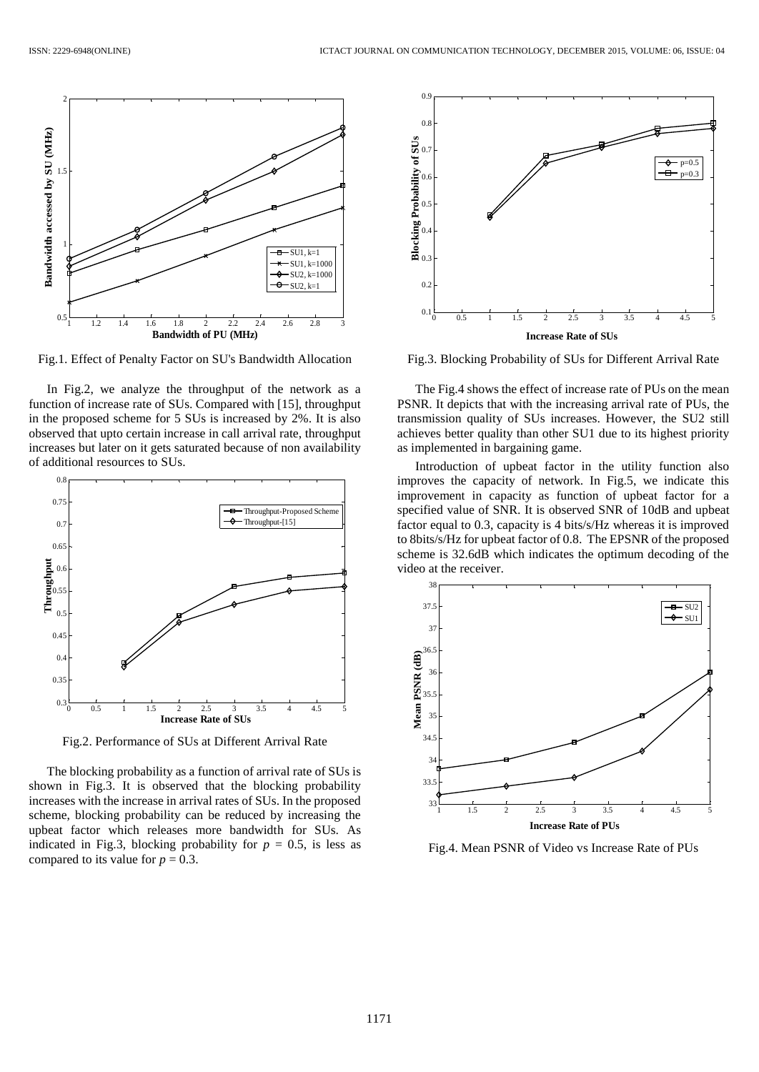

Fig.1. Effect of Penalty Factor on SU's Bandwidth Allocation

In Fig.2, we analyze the throughput of the network as a function of increase rate of SUs. Compared with [15], throughput in the proposed scheme for 5 SUs is increased by 2%. It is also observed that upto certain increase in call arrival rate, throughput increases but later on it gets saturated because of non availability of additional resources to SUs.



Fig.2. Performance of SUs at Different Arrival Rate

The blocking probability as a function of arrival rate of SUs is shown in Fig.3. It is observed that the blocking probability increases with the increase in arrival rates of SUs. In the proposed scheme, blocking probability can be reduced by increasing the upbeat factor which releases more bandwidth for SUs. As indicated in Fig.3, blocking probability for  $p = 0.5$ , is less as compared to its value for  $p = 0.3$ .



Fig.3. Blocking Probability of SUs for Different Arrival Rate

The Fig.4 shows the effect of increase rate of PUs on the mean PSNR. It depicts that with the increasing arrival rate of PUs, the transmission quality of SUs increases. However, the SU2 still achieves better quality than other SU1 due to its highest priority as implemented in bargaining game.

Introduction of upbeat factor in the utility function also improves the capacity of network. In Fig.5, we indicate this improvement in capacity as function of upbeat factor for a specified value of SNR. It is observed SNR of 10dB and upbeat factor equal to 0.3, capacity is 4 bits/s/Hz whereas it is improved to 8bits/s/Hz for upbeat factor of 0.8. The EPSNR of the proposed scheme is 32.6dB which indicates the optimum decoding of the video at the receiver.



Fig.4. Mean PSNR of Video vs Increase Rate of PUs